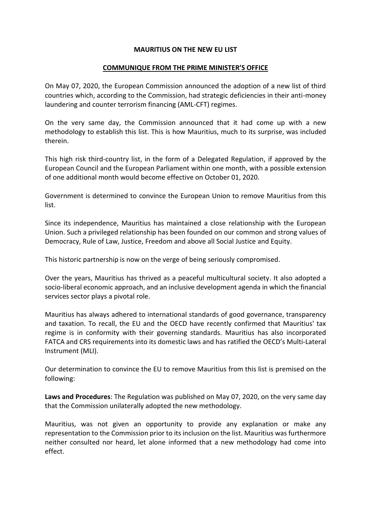## **MAURITIUS ON THE NEW EU LIST**

## **COMMUNIQUE FROM THE PRIME MINISTER'S OFFICE**

On May 07, 2020, the European Commission announced the adoption of a new list of third countries which, according to the Commission, had strategic deficiencies in their anti-money laundering and counter terrorism financing (AML-CFT) regimes.

On the very same day, the Commission announced that it had come up with a new methodology to establish this list. This is how Mauritius, much to its surprise, was included therein.

This high risk third-country list, in the form of a Delegated Regulation, if approved by the European Council and the European Parliament within one month, with a possible extension of one additional month would become effective on October 01, 2020.

Government is determined to convince the European Union to remove Mauritius from this list.

Since its independence, Mauritius has maintained a close relationship with the European Union. Such a privileged relationship has been founded on our common and strong values of Democracy, Rule of Law, Justice, Freedom and above all Social Justice and Equity.

This historic partnership is now on the verge of being seriously compromised.

Over the years, Mauritius has thrived as a peaceful multicultural society. It also adopted a socio-liberal economic approach, and an inclusive development agenda in which the financial services sector plays a pivotal role.

Mauritius has always adhered to international standards of good governance, transparency and taxation. To recall, the EU and the OECD have recently confirmed that Mauritius' tax regime is in conformity with their governing standards. Mauritius has also incorporated FATCA and CRS requirements into its domestic laws and has ratified the OECD's Multi-Lateral Instrument (MLI).

Our determination to convince the EU to remove Mauritius from this list is premised on the following:

**Laws and Procedures**: The Regulation was published on May 07, 2020, on the very same day that the Commission unilaterally adopted the new methodology.

Mauritius, was not given an opportunity to provide any explanation or make any representation to the Commission prior to its inclusion on the list. Mauritius was furthermore neither consulted nor heard, let alone informed that a new methodology had come into effect.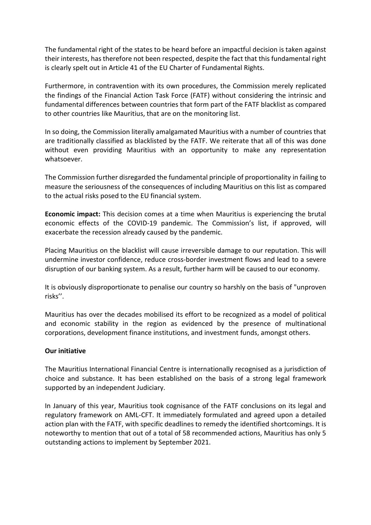The fundamental right of the states to be heard before an impactful decision is taken against their interests, has therefore not been respected, despite the fact that this fundamental right is clearly spelt out in Article 41 of the EU Charter of Fundamental Rights.

Furthermore, in contravention with its own procedures, the Commission merely replicated the findings of the Financial Action Task Force (FATF) without considering the intrinsic and fundamental differences between countries that form part of the FATF blacklist as compared to other countries like Mauritius, that are on the monitoring list.

In so doing, the Commission literally amalgamated Mauritius with a number of countries that are traditionally classified as blacklisted by the FATF. We reiterate that all of this was done without even providing Mauritius with an opportunity to make any representation whatsoever.

The Commission further disregarded the fundamental principle of proportionality in failing to measure the seriousness of the consequences of including Mauritius on this list as compared to the actual risks posed to the EU financial system.

**Economic impact:** This decision comes at a time when Mauritius is experiencing the brutal economic effects of the COVID-19 pandemic. The Commission's list, if approved, will exacerbate the recession already caused by the pandemic.

Placing Mauritius on the blacklist will cause irreversible damage to our reputation. This will undermine investor confidence, reduce cross-border investment flows and lead to a severe disruption of our banking system. As a result, further harm will be caused to our economy.

It is obviously disproportionate to penalise our country so harshly on the basis of "unproven risks''.

Mauritius has over the decades mobilised its effort to be recognized as a model of political and economic stability in the region as evidenced by the presence of multinational corporations, development finance institutions, and investment funds, amongst others.

## **Our initiative**

The Mauritius International Financial Centre is internationally recognised as a jurisdiction of choice and substance. It has been established on the basis of a strong legal framework supported by an independent Judiciary.

In January of this year, Mauritius took cognisance of the FATF conclusions on its legal and regulatory framework on AML-CFT. It immediately formulated and agreed upon a detailed action plan with the FATF, with specific deadlines to remedy the identified shortcomings. It is noteworthy to mention that out of a total of 58 recommended actions, Mauritius has only 5 outstanding actions to implement by September 2021.